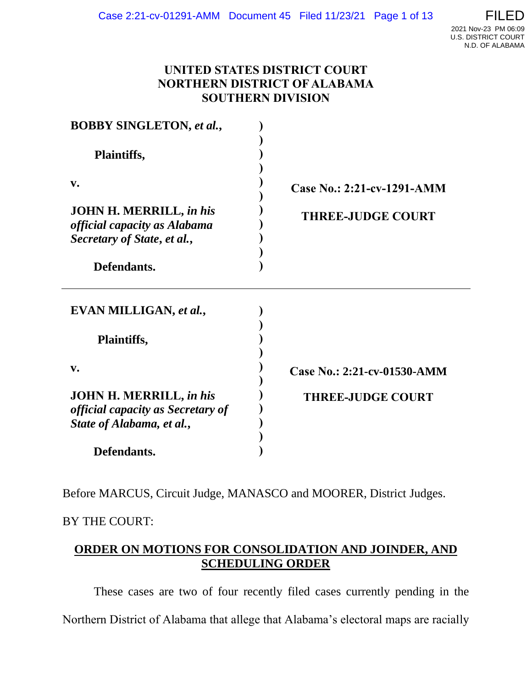## **UNITED STATES DISTRICT COURT NORTHERN DISTRICT OF ALABAMA SOUTHERN DIVISION**

| <b>BOBBY SINGLETON, et al.,</b><br>Plaintiffs,                                                   |                             |
|--------------------------------------------------------------------------------------------------|-----------------------------|
|                                                                                                  |                             |
| <b>JOHN H. MERRILL, in his</b><br>official capacity as Alabama<br>Secretary of State, et al.,    | <b>THREE-JUDGE COURT</b>    |
| Defendants.                                                                                      |                             |
| EVAN MILLIGAN, et al.,                                                                           |                             |
| Plaintiffs,                                                                                      |                             |
| v.                                                                                               | Case No.: 2:21-cv-01530-AMM |
| <b>JOHN H. MERRILL, in his</b><br>official capacity as Secretary of<br>State of Alabama, et al., | <b>THREE-JUDGE COURT</b>    |
| Defendants.                                                                                      |                             |

Before MARCUS, Circuit Judge, MANASCO and MOORER, District Judges.

# BY THE COURT:

# **ORDER ON MOTIONS FOR CONSOLIDATION AND JOINDER, AND SCHEDULING ORDER**

These cases are two of four recently filed cases currently pending in the Northern District of Alabama that allege that Alabama's electoral maps are racially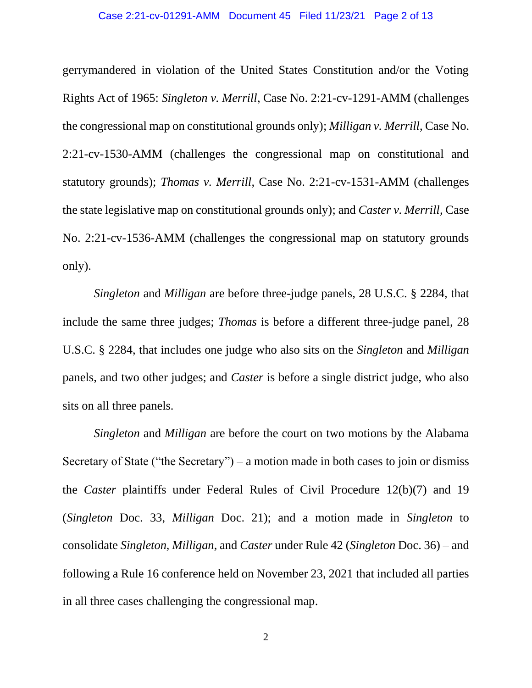#### Case 2:21-cv-01291-AMM Document 45 Filed 11/23/21 Page 2 of 13

gerrymandered in violation of the United States Constitution and/or the Voting Rights Act of 1965: *Singleton v. Merrill*, Case No. 2:21-cv-1291-AMM (challenges the congressional map on constitutional grounds only); *Milligan v. Merrill*, Case No. 2:21-cv-1530-AMM (challenges the congressional map on constitutional and statutory grounds); *Thomas v. Merrill*, Case No. 2:21-cv-1531-AMM (challenges the state legislative map on constitutional grounds only); and *Caster v. Merrill*, Case No. 2:21-cv-1536-AMM (challenges the congressional map on statutory grounds only).

*Singleton* and *Milligan* are before three-judge panels, 28 U.S.C. § 2284, that include the same three judges; *Thomas* is before a different three-judge panel, 28 U.S.C. § 2284, that includes one judge who also sits on the *Singleton* and *Milligan*  panels, and two other judges; and *Caster* is before a single district judge, who also sits on all three panels.

*Singleton* and *Milligan* are before the court on two motions by the Alabama Secretary of State ("the Secretary") – a motion made in both cases to join or dismiss the *Caster* plaintiffs under Federal Rules of Civil Procedure 12(b)(7) and 19 (*Singleton* Doc. 33, *Milligan* Doc. 21); and a motion made in *Singleton* to consolidate *Singleton*, *Milligan*, and *Caster* under Rule 42 (*Singleton* Doc. 36) – and following a Rule 16 conference held on November 23, 2021 that included all parties in all three cases challenging the congressional map.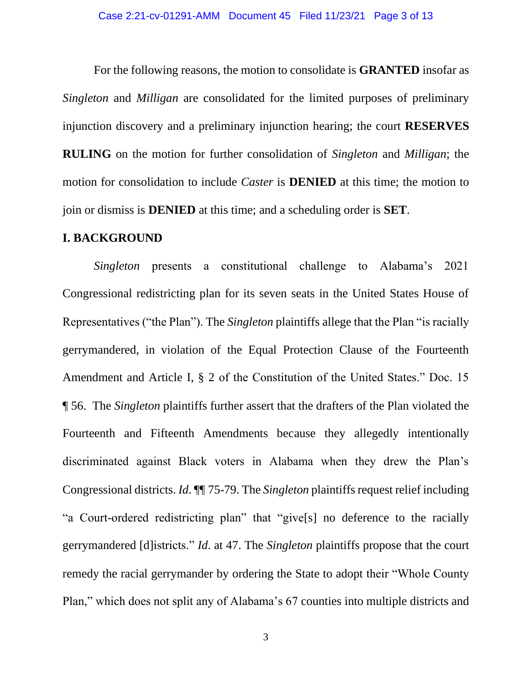For the following reasons, the motion to consolidate is **GRANTED** insofar as *Singleton* and *Milligan* are consolidated for the limited purposes of preliminary injunction discovery and a preliminary injunction hearing; the court **RESERVES RULING** on the motion for further consolidation of *Singleton* and *Milligan*; the motion for consolidation to include *Caster* is **DENIED** at this time; the motion to join or dismiss is **DENIED** at this time; and a scheduling order is **SET**.

## **I. BACKGROUND**

*Singleton* presents a constitutional challenge to Alabama's 2021 Congressional redistricting plan for its seven seats in the United States House of Representatives ("the Plan"). The *Singleton* plaintiffs allege that the Plan "is racially gerrymandered, in violation of the Equal Protection Clause of the Fourteenth Amendment and Article I, § 2 of the Constitution of the United States." Doc. 15 ¶ 56. The *Singleton* plaintiffs further assert that the drafters of the Plan violated the Fourteenth and Fifteenth Amendments because they allegedly intentionally discriminated against Black voters in Alabama when they drew the Plan's Congressional districts. *Id*. ¶¶ 75-79. The *Singleton* plaintiffs request relief including "a Court-ordered redistricting plan" that "give[s] no deference to the racially gerrymandered [d]istricts." *Id*. at 47. The *Singleton* plaintiffs propose that the court remedy the racial gerrymander by ordering the State to adopt their "Whole County Plan," which does not split any of Alabama's 67 counties into multiple districts and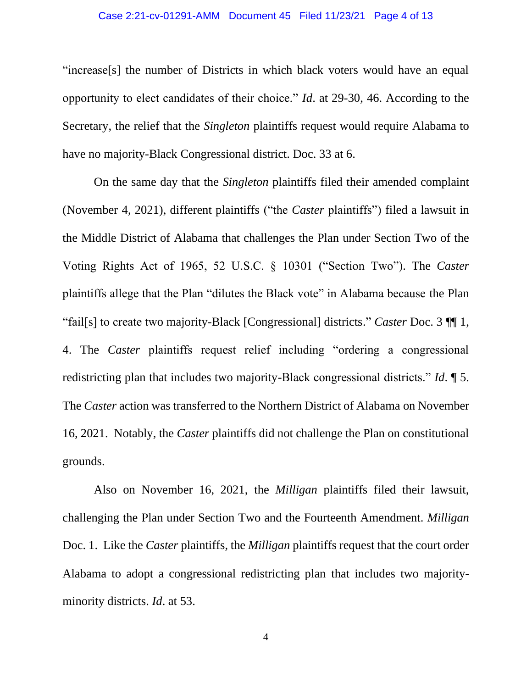#### Case 2:21-cv-01291-AMM Document 45 Filed 11/23/21 Page 4 of 13

"increase[s] the number of Districts in which black voters would have an equal opportunity to elect candidates of their choice." *Id*. at 29-30, 46. According to the Secretary, the relief that the *Singleton* plaintiffs request would require Alabama to have no majority-Black Congressional district. Doc. 33 at 6.

On the same day that the *Singleton* plaintiffs filed their amended complaint (November 4, 2021), different plaintiffs ("the *Caster* plaintiffs") filed a lawsuit in the Middle District of Alabama that challenges the Plan under Section Two of the Voting Rights Act of 1965, 52 U.S.C. § 10301 ("Section Two"). The *Caster* plaintiffs allege that the Plan "dilutes the Black vote" in Alabama because the Plan "fail[s] to create two majority-Black [Congressional] districts." *Caster* Doc. 3 ¶¶ 1, 4. The *Caster* plaintiffs request relief including "ordering a congressional redistricting plan that includes two majority-Black congressional districts." *Id*. ¶ 5. The *Caster* action was transferred to the Northern District of Alabama on November 16, 2021. Notably, the *Caster* plaintiffs did not challenge the Plan on constitutional grounds.

Also on November 16, 2021, the *Milligan* plaintiffs filed their lawsuit, challenging the Plan under Section Two and the Fourteenth Amendment. *Milligan* Doc. 1. Like the *Caster* plaintiffs, the *Milligan* plaintiffs request that the court order Alabama to adopt a congressional redistricting plan that includes two majorityminority districts. *Id*. at 53.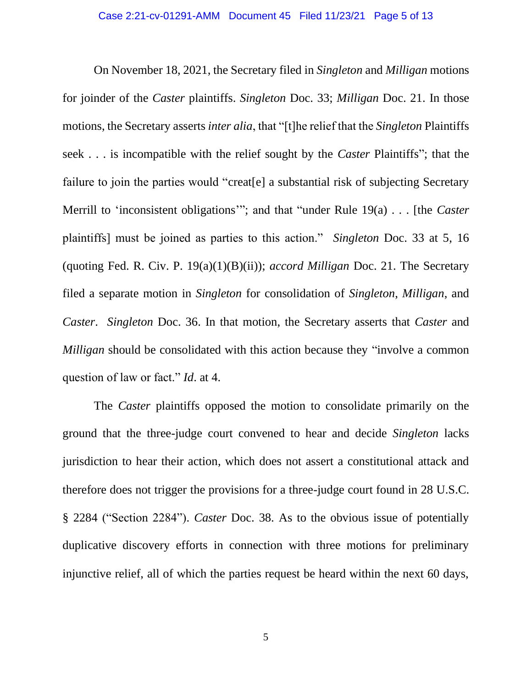On November 18, 2021, the Secretary filed in *Singleton* and *Milligan* motions for joinder of the *Caster* plaintiffs. *Singleton* Doc. 33; *Milligan* Doc. 21. In those motions, the Secretary asserts *inter alia*, that "[t]he relief that the *Singleton* Plaintiffs seek . . . is incompatible with the relief sought by the *Caster* Plaintiffs"; that the failure to join the parties would "creat [e] a substantial risk of subjecting Secretary Merrill to 'inconsistent obligations'"; and that "under Rule 19(a) . . . [the *Caster* plaintiffs] must be joined as parties to this action." *Singleton* Doc. 33 at 5, 16 (quoting Fed. R. Civ. P. 19(a)(1)(B)(ii)); *accord Milligan* Doc. 21. The Secretary filed a separate motion in *Singleton* for consolidation of *Singleton*, *Milligan*, and *Caster*. *Singleton* Doc. 36. In that motion, the Secretary asserts that *Caster* and *Milligan* should be consolidated with this action because they "involve a common question of law or fact." *Id*. at 4.

The *Caster* plaintiffs opposed the motion to consolidate primarily on the ground that the three-judge court convened to hear and decide *Singleton* lacks jurisdiction to hear their action, which does not assert a constitutional attack and therefore does not trigger the provisions for a three-judge court found in 28 U.S.C. § 2284 ("Section 2284"). *Caster* Doc. 38. As to the obvious issue of potentially duplicative discovery efforts in connection with three motions for preliminary injunctive relief, all of which the parties request be heard within the next 60 days,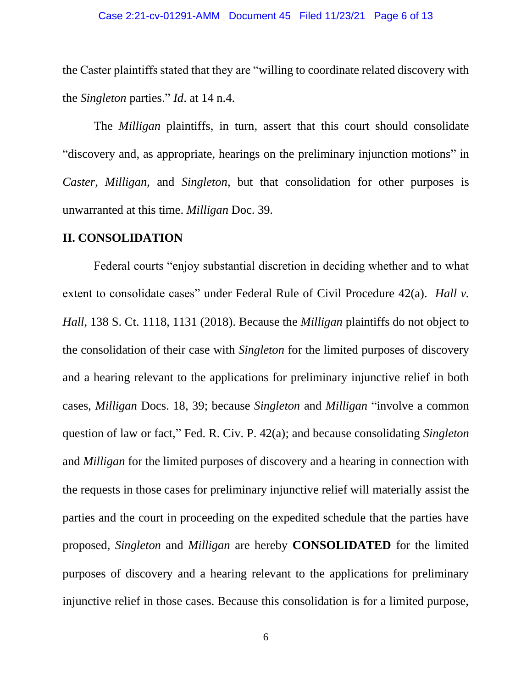#### Case 2:21-cv-01291-AMM Document 45 Filed 11/23/21 Page 6 of 13

the Caster plaintiffs stated that they are "willing to coordinate related discovery with the *Singleton* parties." *Id*. at 14 n.4.

The *Milligan* plaintiffs, in turn, assert that this court should consolidate "discovery and, as appropriate, hearings on the preliminary injunction motions" in *Caster*, *Milligan*, and *Singleton*, but that consolidation for other purposes is unwarranted at this time. *Milligan* Doc. 39.

#### **II. CONSOLIDATION**

Federal courts "enjoy substantial discretion in deciding whether and to what extent to consolidate cases" under Federal Rule of Civil Procedure 42(a). *Hall v. Hall*, 138 S. Ct. 1118, 1131 (2018). Because the *Milligan* plaintiffs do not object to the consolidation of their case with *Singleton* for the limited purposes of discovery and a hearing relevant to the applications for preliminary injunctive relief in both cases, *Milligan* Docs. 18, 39; because *Singleton* and *Milligan* "involve a common question of law or fact," Fed. R. Civ. P. 42(a); and because consolidating *Singleton*  and *Milligan* for the limited purposes of discovery and a hearing in connection with the requests in those cases for preliminary injunctive relief will materially assist the parties and the court in proceeding on the expedited schedule that the parties have proposed, *Singleton* and *Milligan* are hereby **CONSOLIDATED** for the limited purposes of discovery and a hearing relevant to the applications for preliminary injunctive relief in those cases. Because this consolidation is for a limited purpose,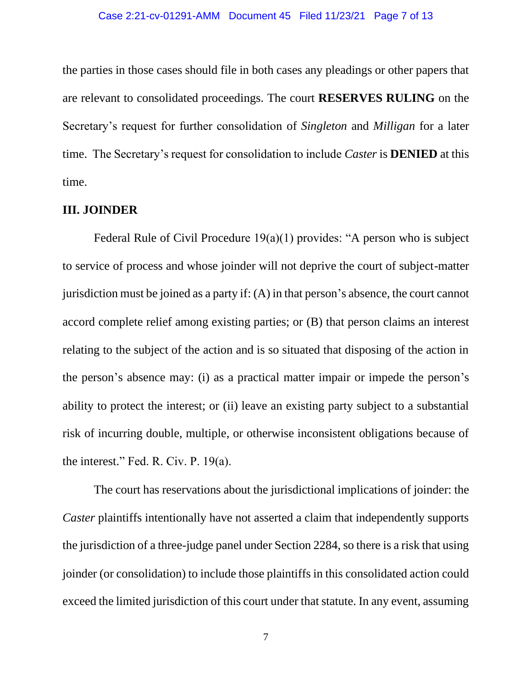the parties in those cases should file in both cases any pleadings or other papers that are relevant to consolidated proceedings. The court **RESERVES RULING** on the Secretary's request for further consolidation of *Singleton* and *Milligan* for a later time. The Secretary's request for consolidation to include *Caster* is **DENIED** at this time.

### **III. JOINDER**

Federal Rule of Civil Procedure 19(a)(1) provides: "A person who is subject to service of process and whose joinder will not deprive the court of subject-matter jurisdiction must be joined as a party if: (A) in that person's absence, the court cannot accord complete relief among existing parties; or (B) that person claims an interest relating to the subject of the action and is so situated that disposing of the action in the person's absence may: (i) as a practical matter impair or impede the person's ability to protect the interest; or (ii) leave an existing party subject to a substantial risk of incurring double, multiple, or otherwise inconsistent obligations because of the interest." Fed. R. Civ. P. 19(a).

The court has reservations about the jurisdictional implications of joinder: the *Caster* plaintiffs intentionally have not asserted a claim that independently supports the jurisdiction of a three-judge panel under Section 2284, so there is a risk that using joinder (or consolidation) to include those plaintiffs in this consolidated action could exceed the limited jurisdiction of this court under that statute. In any event, assuming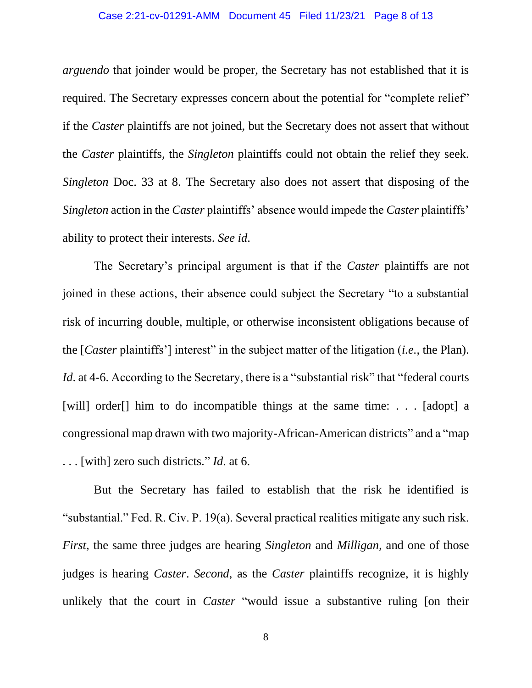#### Case 2:21-cv-01291-AMM Document 45 Filed 11/23/21 Page 8 of 13

*arguendo* that joinder would be proper, the Secretary has not established that it is required. The Secretary expresses concern about the potential for "complete relief" if the *Caster* plaintiffs are not joined, but the Secretary does not assert that without the *Caster* plaintiffs, the *Singleton* plaintiffs could not obtain the relief they seek. *Singleton* Doc. 33 at 8. The Secretary also does not assert that disposing of the *Singleton* action in the *Caster* plaintiffs' absence would impede the *Caster* plaintiffs' ability to protect their interests. *See id*.

The Secretary's principal argument is that if the *Caster* plaintiffs are not joined in these actions, their absence could subject the Secretary "to a substantial risk of incurring double, multiple, or otherwise inconsistent obligations because of the [*Caster* plaintiffs'] interest" in the subject matter of the litigation (*i.e.*, the Plan). *Id.* at 4-6. According to the Secretary, there is a "substantial risk" that "federal courts [will] order<sup>[]</sup> him to do incompatible things at the same time: . . . [adopt] a congressional map drawn with two majority-African-American districts" and a "map . . . [with] zero such districts." *Id*. at 6.

But the Secretary has failed to establish that the risk he identified is "substantial." Fed. R. Civ. P. 19(a). Several practical realities mitigate any such risk. *First*, the same three judges are hearing *Singleton* and *Milligan*, and one of those judges is hearing *Caster*. *Second*, as the *Caster* plaintiffs recognize, it is highly unlikely that the court in *Caster* "would issue a substantive ruling [on their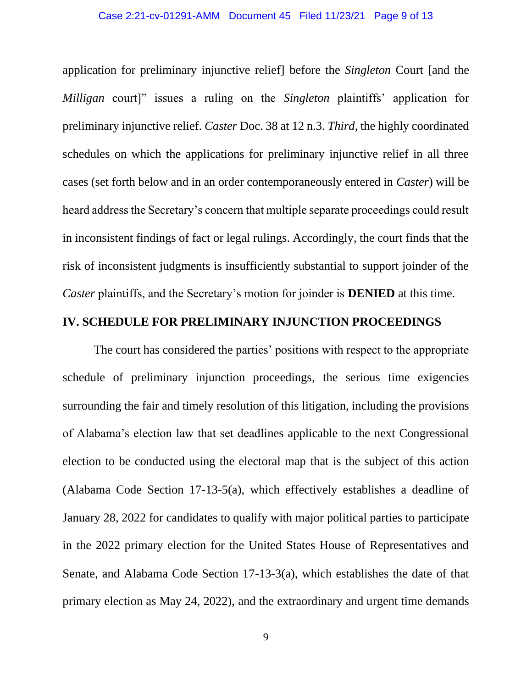#### Case 2:21-cv-01291-AMM Document 45 Filed 11/23/21 Page 9 of 13

application for preliminary injunctive relief] before the *Singleton* Court [and the *Milligan* court]" issues a ruling on the *Singleton* plaintiffs' application for preliminary injunctive relief. *Caster* Doc. 38 at 12 n.3. *Third*, the highly coordinated schedules on which the applications for preliminary injunctive relief in all three cases (set forth below and in an order contemporaneously entered in *Caster*) will be heard address the Secretary's concern that multiple separate proceedings could result in inconsistent findings of fact or legal rulings. Accordingly, the court finds that the risk of inconsistent judgments is insufficiently substantial to support joinder of the *Caster* plaintiffs, and the Secretary's motion for joinder is **DENIED** at this time.

## **IV. SCHEDULE FOR PRELIMINARY INJUNCTION PROCEEDINGS**

The court has considered the parties' positions with respect to the appropriate schedule of preliminary injunction proceedings, the serious time exigencies surrounding the fair and timely resolution of this litigation, including the provisions of Alabama's election law that set deadlines applicable to the next Congressional election to be conducted using the electoral map that is the subject of this action (Alabama Code Section 17-13-5(a), which effectively establishes a deadline of January 28, 2022 for candidates to qualify with major political parties to participate in the 2022 primary election for the United States House of Representatives and Senate, and Alabama Code Section 17-13-3(a), which establishes the date of that primary election as May 24, 2022), and the extraordinary and urgent time demands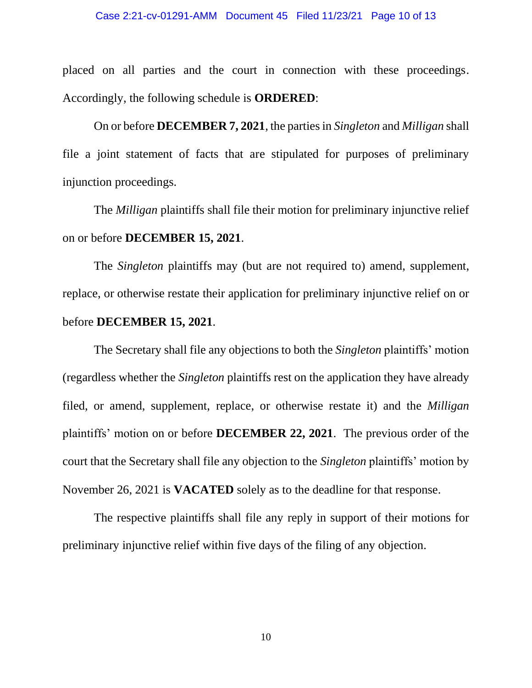placed on all parties and the court in connection with these proceedings. Accordingly, the following schedule is **ORDERED**:

On or before **DECEMBER 7, 2021**, the parties in *Singleton* and *Milligan* shall file a joint statement of facts that are stipulated for purposes of preliminary injunction proceedings.

The *Milligan* plaintiffs shall file their motion for preliminary injunctive relief on or before **DECEMBER 15, 2021**.

The *Singleton* plaintiffs may (but are not required to) amend, supplement, replace, or otherwise restate their application for preliminary injunctive relief on or before **DECEMBER 15, 2021**.

The Secretary shall file any objections to both the *Singleton* plaintiffs' motion (regardless whether the *Singleton* plaintiffs rest on the application they have already filed, or amend, supplement, replace, or otherwise restate it) and the *Milligan*  plaintiffs' motion on or before **DECEMBER 22, 2021**. The previous order of the court that the Secretary shall file any objection to the *Singleton* plaintiffs' motion by November 26, 2021 is **VACATED** solely as to the deadline for that response.

The respective plaintiffs shall file any reply in support of their motions for preliminary injunctive relief within five days of the filing of any objection.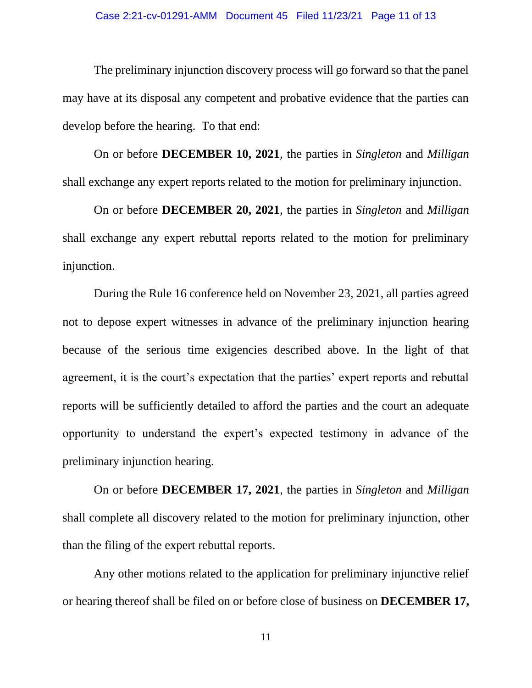The preliminary injunction discovery process will go forward so that the panel may have at its disposal any competent and probative evidence that the parties can develop before the hearing. To that end:

On or before **DECEMBER 10, 2021**, the parties in *Singleton* and *Milligan*  shall exchange any expert reports related to the motion for preliminary injunction.

On or before **DECEMBER 20, 2021**, the parties in *Singleton* and *Milligan*  shall exchange any expert rebuttal reports related to the motion for preliminary injunction.

During the Rule 16 conference held on November 23, 2021, all parties agreed not to depose expert witnesses in advance of the preliminary injunction hearing because of the serious time exigencies described above. In the light of that agreement, it is the court's expectation that the parties' expert reports and rebuttal reports will be sufficiently detailed to afford the parties and the court an adequate opportunity to understand the expert's expected testimony in advance of the preliminary injunction hearing.

On or before **DECEMBER 17, 2021**, the parties in *Singleton* and *Milligan*  shall complete all discovery related to the motion for preliminary injunction, other than the filing of the expert rebuttal reports.

Any other motions related to the application for preliminary injunctive relief or hearing thereof shall be filed on or before close of business on **DECEMBER 17,** 

11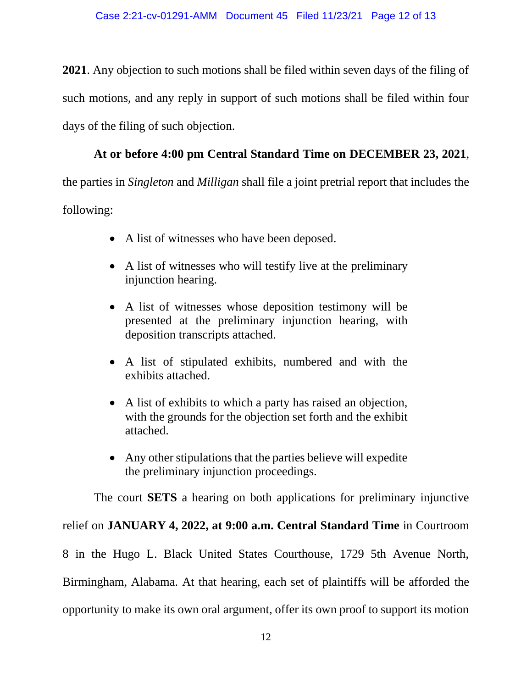**2021**. Any objection to such motions shall be filed within seven days of the filing of such motions, and any reply in support of such motions shall be filed within four days of the filing of such objection.

## **At or before 4:00 pm Central Standard Time on DECEMBER 23, 2021**,

the parties in *Singleton* and *Milligan* shall file a joint pretrial report that includes the following:

- A list of witnesses who have been deposed.
- A list of witnesses who will testify live at the preliminary injunction hearing.
- A list of witnesses whose deposition testimony will be presented at the preliminary injunction hearing, with deposition transcripts attached.
- A list of stipulated exhibits, numbered and with the exhibits attached.
- A list of exhibits to which a party has raised an objection, with the grounds for the objection set forth and the exhibit attached.
- Any other stipulations that the parties believe will expedite the preliminary injunction proceedings.

The court **SETS** a hearing on both applications for preliminary injunctive

relief on **JANUARY 4, 2022, at 9:00 a.m. Central Standard Time** in Courtroom 8 in the Hugo L. Black United States Courthouse, 1729 5th Avenue North, Birmingham, Alabama. At that hearing, each set of plaintiffs will be afforded the opportunity to make its own oral argument, offer its own proof to support its motion